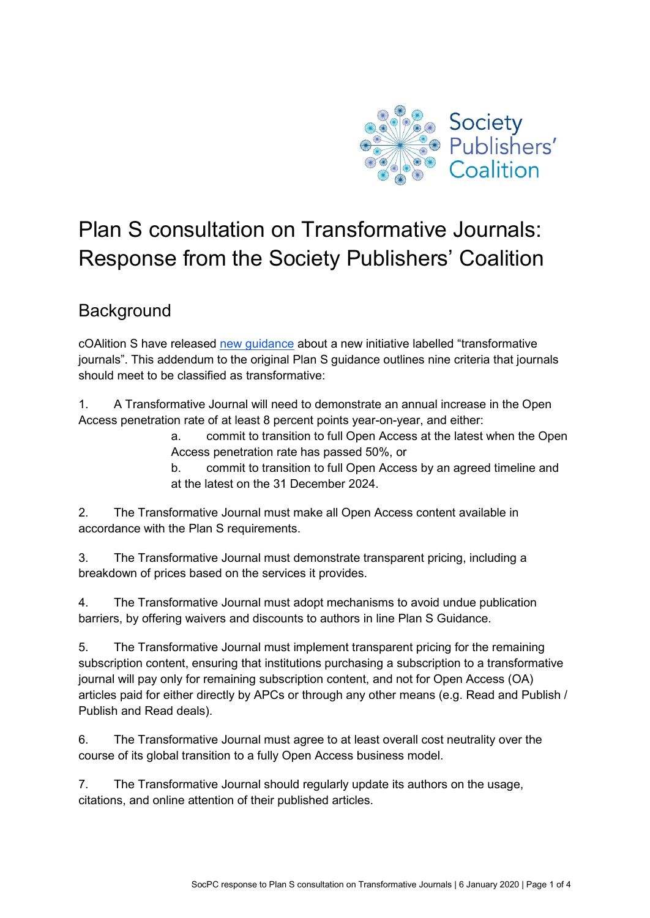

# Plan S consultation on Transformative Journals: Response from the Society Publishers' Coalition

# **Background**

cOAlition S have release[d](https://www.coalition-s.org/addendum-to-the-coalition-s-guidance-on-the-implementation-of-plan-s/) [new guidance](https://www.coalition-s.org/addendum-to-the-coalition-s-guidance-on-the-implementation-of-plan-s/) about a new initiative labelled "transformative journals". This addendum to the original Plan S guidance outlines nine criteria that journals should meet to be classified as transformative:

1. A Transformative Journal will need to demonstrate an annual increase in the Open Access penetration rate of at least 8 percent points year-on-year, and either:

> a. commit to transition to full Open Access at the latest when the Open Access penetration rate has passed 50%, or

b. commit to transition to full Open Access by an agreed timeline and at the latest on the 31 December 2024.

2. The Transformative Journal must make all Open Access content available in accordance with the Plan S requirements.

3. The Transformative Journal must demonstrate transparent pricing, including a breakdown of prices based on the services it provides.

4. The Transformative Journal must adopt mechanisms to avoid undue publication barriers, by offering waivers and discounts to authors in line Plan S Guidance.

5. The Transformative Journal must implement transparent pricing for the remaining subscription content, ensuring that institutions purchasing a subscription to a transformative journal will pay only for remaining subscription content, and not for Open Access (OA) articles paid for either directly by APCs or through any other means (e.g. Read and Publish / Publish and Read deals).

6. The Transformative Journal must agree to at least overall cost neutrality over the course of its global transition to a fully Open Access business model.

7. The Transformative Journal should regularly update its authors on the usage, citations, and online attention of their published articles.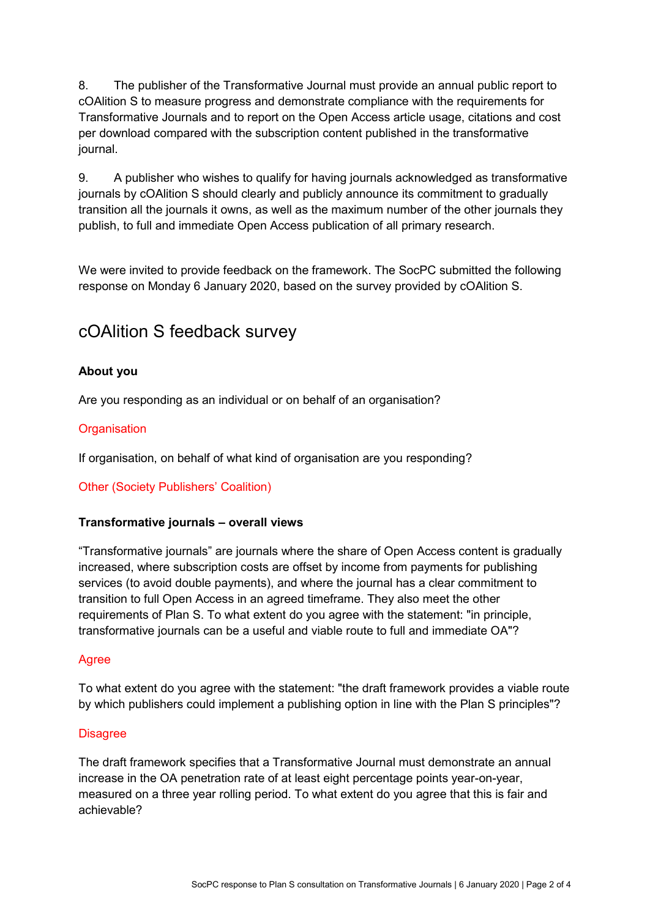8. The publisher of the Transformative Journal must provide an annual public report to cOAlition S to measure progress and demonstrate compliance with the requirements for Transformative Journals and to report on the Open Access article usage, citations and cost per download compared with the subscription content published in the transformative journal.

9. A publisher who wishes to qualify for having journals acknowledged as transformative journals by cOAlition S should clearly and publicly announce its commitment to gradually transition all the journals it owns, as well as the maximum number of the other journals they publish, to full and immediate Open Access publication of all primary research.

We were invited to provide feedback on the framework. The SocPC submitted the following response on Monday 6 January 2020, based on the survey provided by cOAlition S.

# cOAlition S feedback survey

# **About you**

Are you responding as an individual or on behalf of an organisation?

## **Organisation**

If organisation, on behalf of what kind of organisation are you responding?

Other (Society Publishers' Coalition)

### **Transformative journals – overall views**

"Transformative journals" are journals where the share of Open Access content is gradually increased, where subscription costs are offset by income from payments for publishing services (to avoid double payments), and where the journal has a clear commitment to transition to full Open Access in an agreed timeframe. They also meet the other requirements of Plan S. To what extent do you agree with the statement: "in principle, transformative journals can be a useful and viable route to full and immediate OA"?

#### Agree

To what extent do you agree with the statement: "the draft framework provides a viable route by which publishers could implement a publishing option in line with the Plan S principles"?

#### **Disagree**

The draft framework specifies that a Transformative Journal must demonstrate an annual increase in the OA penetration rate of at least eight percentage points year-on-year, measured on a three year rolling period. To what extent do you agree that this is fair and achievable?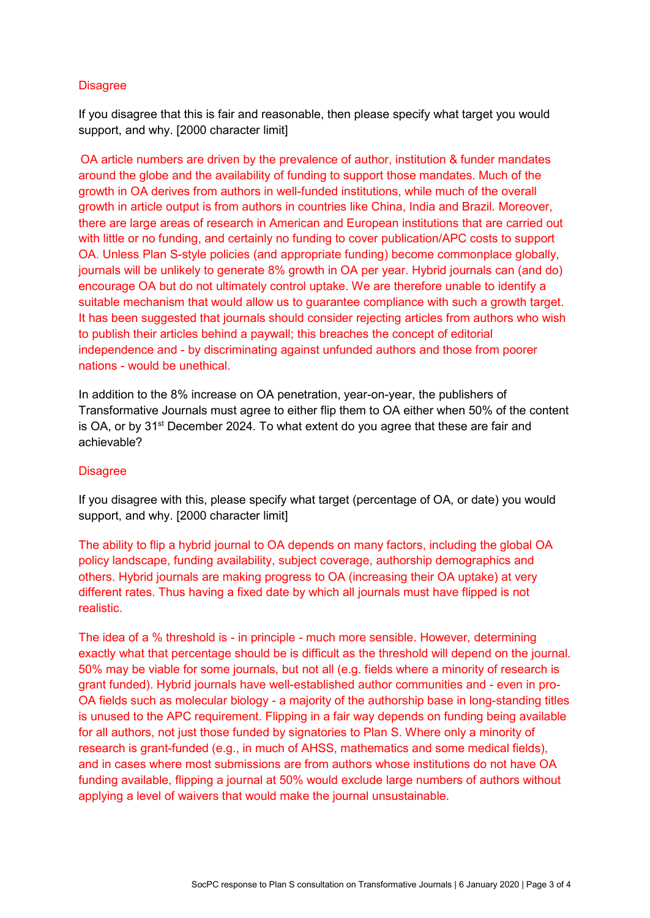### **Disagree**

If you disagree that this is fair and reasonable, then please specify what target you would support, and why. [2000 character limit]

OA article numbers are driven by the prevalence of author, institution & funder mandates around the globe and the availability of funding to support those mandates. Much of the growth in OA derives from authors in well-funded institutions, while much of the overall growth in article output is from authors in countries like China, India and Brazil. Moreover, there are large areas of research in American and European institutions that are carried out with little or no funding, and certainly no funding to cover publication/APC costs to support OA. Unless Plan S-style policies (and appropriate funding) become commonplace globally, journals will be unlikely to generate 8% growth in OA per year. Hybrid journals can (and do) encourage OA but do not ultimately control uptake. We are therefore unable to identify a suitable mechanism that would allow us to guarantee compliance with such a growth target. It has been suggested that journals should consider rejecting articles from authors who wish to publish their articles behind a paywall; this breaches the concept of editorial independence and - by discriminating against unfunded authors and those from poorer nations - would be unethical.

In addition to the 8% increase on OA penetration, year-on-year, the publishers of Transformative Journals must agree to either flip them to OA either when 50% of the content is OA, or by 31<sup>st</sup> December 2024. To what extent do you agree that these are fair and achievable?

#### **Disagree**

If you disagree with this, please specify what target (percentage of OA, or date) you would support, and why. [2000 character limit]

The ability to flip a hybrid journal to OA depends on many factors, including the global OA policy landscape, funding availability, subject coverage, authorship demographics and others. Hybrid journals are making progress to OA (increasing their OA uptake) at very different rates. Thus having a fixed date by which all journals must have flipped is not realistic.

The idea of a % threshold is - in principle - much more sensible. However, determining exactly what that percentage should be is difficult as the threshold will depend on the journal. 50% may be viable for some journals, but not all (e.g. fields where a minority of research is grant funded). Hybrid journals have well-established author communities and - even in pro-OA fields such as molecular biology - a majority of the authorship base in long-standing titles is unused to the APC requirement. Flipping in a fair way depends on funding being available for all authors, not just those funded by signatories to Plan S. Where only a minority of research is grant-funded (e.g., in much of AHSS, mathematics and some medical fields), and in cases where most submissions are from authors whose institutions do not have OA funding available, flipping a journal at 50% would exclude large numbers of authors without applying a level of waivers that would make the journal unsustainable.